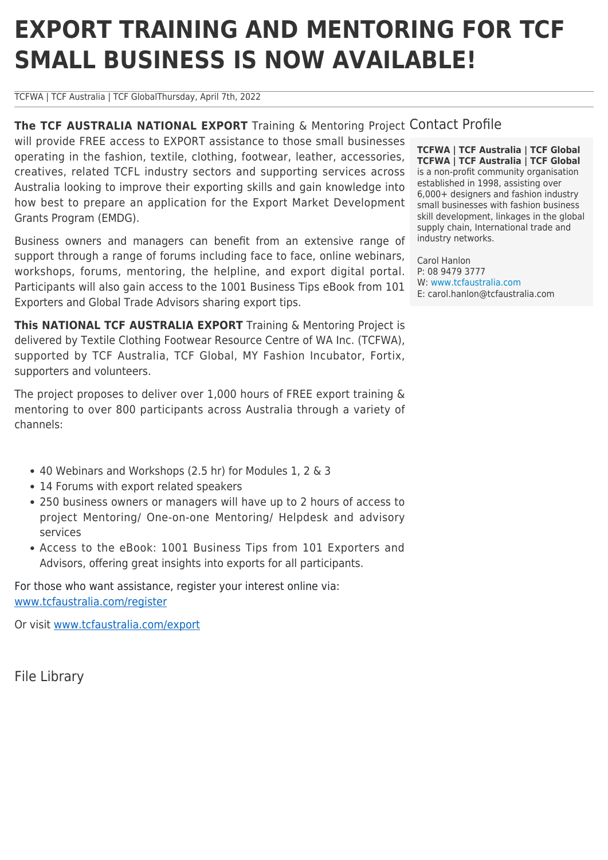# **EXPORT TRAINING AND MENTORING FOR TCF SMALL BUSINESS IS NOW AVAILABLE!**

TCFWA | TCF Australia | TCF GlobalThursday, April 7th, 2022

The TCF AUSTRALIA NATIONAL EXPORT Training & Mentoring Project Contact Profile will provide FREE access to EXPORT assistance to those small businesses operating in the fashion, textile, clothing, footwear, leather, accessories, creatives, related TCFL industry sectors and supporting services across Australia looking to improve their exporting skills and gain knowledge into how best to prepare an application for the Export Market Development Grants Program (EMDG).

Business owners and managers can benefit from an extensive range of support through a range of forums including face to face, online webinars, workshops, forums, mentoring, the helpline, and export digital portal. Participants will also gain access to the 1001 Business Tips eBook from 101 Exporters and Global Trade Advisors sharing export tips.

**This NATIONAL TCF AUSTRALIA EXPORT** Training & Mentoring Project is delivered by Textile Clothing Footwear Resource Centre of WA Inc. (TCFWA), supported by TCF Australia, TCF Global, MY Fashion Incubator, Fortix, supporters and volunteers.

The project proposes to deliver over 1,000 hours of FREE export training & mentoring to over 800 participants across Australia through a variety of channels:

- 40 Webinars and Workshops (2.5 hr) for Modules 1, 2 & 3
- 14 Forums with export related speakers
- 250 business owners or managers will have up to 2 hours of access to project Mentoring/ One-on-one Mentoring/ Helpdesk and advisory services
- Access to the eBook: 1001 Business Tips from 101 Exporters and Advisors, offering great insights into exports for all participants.

For those who want assistance, register your interest online via: [www.tcfaustralia.com/register](http://www.tcfaustralia.com/register)

Or visit [www.tcfaustralia.com/export](http://www.tcfaustralia.com/export)

File Library

**TCFWA | TCF Australia | TCF Global TCFWA | TCF Australia | TCF Global** is a non-profit community organisation established in 1998, assisting over 6,000+ designers and fashion industry small businesses with fashion business skill development, linkages in the global supply chain, International trade and industry networks.

Carol Hanlon P: 08 9479 3777 W: [www.tcfaustralia.com](http://www.tcfaustralia.com) E: carol.hanlon@tcfaustralia.com